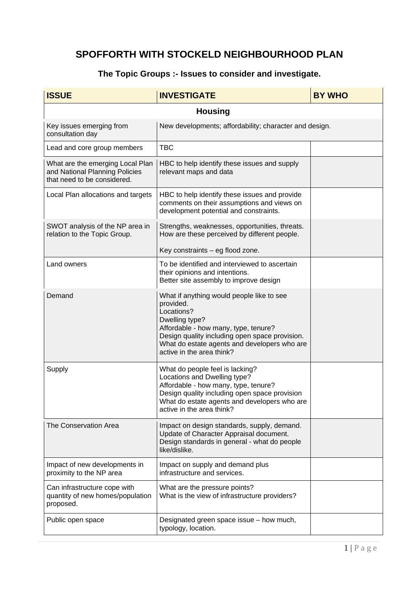## **SPOFFORTH WITH STOCKELD NEIGHBOURHOOD PLAN**

## **The Topic Groups :- Issues to consider and investigate.**

| <b>ISSUE</b>                                                                                      | <b>INVESTIGATE</b>                                                                                                                                                                                                                                            | <b>BY WHO</b> |
|---------------------------------------------------------------------------------------------------|---------------------------------------------------------------------------------------------------------------------------------------------------------------------------------------------------------------------------------------------------------------|---------------|
| <b>Housing</b>                                                                                    |                                                                                                                                                                                                                                                               |               |
| Key issues emerging from<br>consultation day                                                      | New developments; affordability; character and design.                                                                                                                                                                                                        |               |
| Lead and core group members                                                                       | <b>TBC</b>                                                                                                                                                                                                                                                    |               |
| What are the emerging Local Plan<br>and National Planning Policies<br>that need to be considered. | HBC to help identify these issues and supply<br>relevant maps and data                                                                                                                                                                                        |               |
| Local Plan allocations and targets                                                                | HBC to help identify these issues and provide<br>comments on their assumptions and views on<br>development potential and constraints.                                                                                                                         |               |
| SWOT analysis of the NP area in<br>relation to the Topic Group.                                   | Strengths, weaknesses, opportunities, threats.<br>How are these perceived by different people.<br>Key constraints - eg flood zone.                                                                                                                            |               |
| Land owners                                                                                       | To be identified and interviewed to ascertain<br>their opinions and intentions.<br>Better site assembly to improve design                                                                                                                                     |               |
| Demand                                                                                            | What if anything would people like to see<br>provided.<br>Locations?<br>Dwelling type?<br>Affordable - how many, type, tenure?<br>Design quality including open space provision.<br>What do estate agents and developers who are<br>active in the area think? |               |
| Supply                                                                                            | What do people feel is lacking?<br>Locations and Dwelling type?<br>Affordable - how many, type, tenure?<br>Design quality including open space provision<br>What do estate agents and developers who are<br>active in the area think?                         |               |
| The Conservation Area                                                                             | Impact on design standards, supply, demand.<br>Update of Character Appraisal document.<br>Design standards in general - what do people<br>like/dislike.                                                                                                       |               |
| Impact of new developments in<br>proximity to the NP area                                         | Impact on supply and demand plus<br>infrastructure and services.                                                                                                                                                                                              |               |
| Can infrastructure cope with<br>quantity of new homes/population<br>proposed.                     | What are the pressure points?<br>What is the view of infrastructure providers?                                                                                                                                                                                |               |
| Public open space                                                                                 | Designated green space issue - how much,<br>typology, location.                                                                                                                                                                                               |               |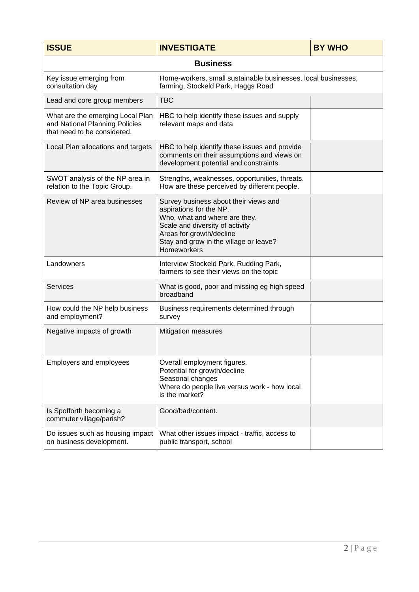| <b>ISSUE</b>                                                                                      | <b>INVESTIGATE</b>                                                                                                                                                                                                        | <b>BY WHO</b> |
|---------------------------------------------------------------------------------------------------|---------------------------------------------------------------------------------------------------------------------------------------------------------------------------------------------------------------------------|---------------|
| <b>Business</b>                                                                                   |                                                                                                                                                                                                                           |               |
| Key issue emerging from<br>consultation day                                                       | Home-workers, small sustainable businesses, local businesses,<br>farming, Stockeld Park, Haggs Road                                                                                                                       |               |
| Lead and core group members                                                                       | <b>TBC</b>                                                                                                                                                                                                                |               |
| What are the emerging Local Plan<br>and National Planning Policies<br>that need to be considered. | HBC to help identify these issues and supply<br>relevant maps and data                                                                                                                                                    |               |
| Local Plan allocations and targets                                                                | HBC to help identify these issues and provide<br>comments on their assumptions and views on<br>development potential and constraints.                                                                                     |               |
| SWOT analysis of the NP area in<br>relation to the Topic Group.                                   | Strengths, weaknesses, opportunities, threats.<br>How are these perceived by different people.                                                                                                                            |               |
| Review of NP area businesses                                                                      | Survey business about their views and<br>aspirations for the NP.<br>Who, what and where are they.<br>Scale and diversity of activity<br>Areas for growth/decline<br>Stay and grow in the village or leave?<br>Homeworkers |               |
| Landowners                                                                                        | Interview Stockeld Park, Rudding Park,<br>farmers to see their views on the topic                                                                                                                                         |               |
| <b>Services</b>                                                                                   | What is good, poor and missing eg high speed<br>broadband                                                                                                                                                                 |               |
| How could the NP help business<br>and employment?                                                 | Business requirements determined through<br>survey                                                                                                                                                                        |               |
| Negative impacts of growth                                                                        | Mitigation measures                                                                                                                                                                                                       |               |
| Employers and employees                                                                           | Overall employment figures.<br>Potential for growth/decline<br>Seasonal changes<br>Where do people live versus work - how local<br>is the market?                                                                         |               |
| Is Spofforth becoming a<br>commuter village/parish?                                               | Good/bad/content.                                                                                                                                                                                                         |               |
| Do issues such as housing impact<br>on business development.                                      | What other issues impact - traffic, access to<br>public transport, school                                                                                                                                                 |               |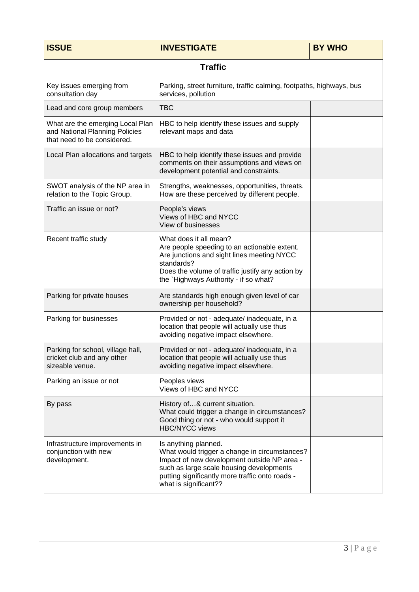| <b>ISSUE</b>                                                                                      | <b>INVESTIGATE</b>                                                                                                                                                                                                                           | <b>BY WHO</b> |
|---------------------------------------------------------------------------------------------------|----------------------------------------------------------------------------------------------------------------------------------------------------------------------------------------------------------------------------------------------|---------------|
| <b>Traffic</b>                                                                                    |                                                                                                                                                                                                                                              |               |
| Key issues emerging from<br>consultation day                                                      | Parking, street furniture, traffic calming, footpaths, highways, bus<br>services, pollution                                                                                                                                                  |               |
| Lead and core group members                                                                       | <b>TBC</b>                                                                                                                                                                                                                                   |               |
| What are the emerging Local Plan<br>and National Planning Policies<br>that need to be considered. | HBC to help identify these issues and supply<br>relevant maps and data                                                                                                                                                                       |               |
| Local Plan allocations and targets                                                                | HBC to help identify these issues and provide<br>comments on their assumptions and views on<br>development potential and constraints.                                                                                                        |               |
| SWOT analysis of the NP area in<br>relation to the Topic Group.                                   | Strengths, weaknesses, opportunities, threats.<br>How are these perceived by different people.                                                                                                                                               |               |
| Traffic an issue or not?                                                                          | People's views<br>Views of HBC and NYCC<br>View of businesses                                                                                                                                                                                |               |
| Recent traffic study                                                                              | What does it all mean?<br>Are people speeding to an actionable extent.<br>Are junctions and sight lines meeting NYCC<br>standards?<br>Does the volume of traffic justify any action by<br>the `Highways Authority - if so what?              |               |
| Parking for private houses                                                                        | Are standards high enough given level of car<br>ownership per household?                                                                                                                                                                     |               |
| Parking for businesses                                                                            | Provided or not - adequate/ inadequate, in a<br>location that people will actually use thus<br>avoiding negative impact elsewhere.                                                                                                           |               |
| Parking for school, village hall,<br>cricket club and any other<br>sizeable venue.                | Provided or not - adequate/ inadequate, in a<br>location that people will actually use thus<br>avoiding negative impact elsewhere.                                                                                                           |               |
| Parking an issue or not                                                                           | Peoples views<br>Views of HBC and NYCC                                                                                                                                                                                                       |               |
| By pass                                                                                           | History of& current situation.<br>What could trigger a change in circumstances?<br>Good thing or not - who would support it<br><b>HBC/NYCC views</b>                                                                                         |               |
| Infrastructure improvements in<br>conjunction with new<br>development.                            | Is anything planned.<br>What would trigger a change in circumstances?<br>Impact of new development outside NP area -<br>such as large scale housing developments<br>putting significantly more traffic onto roads -<br>what is significant?? |               |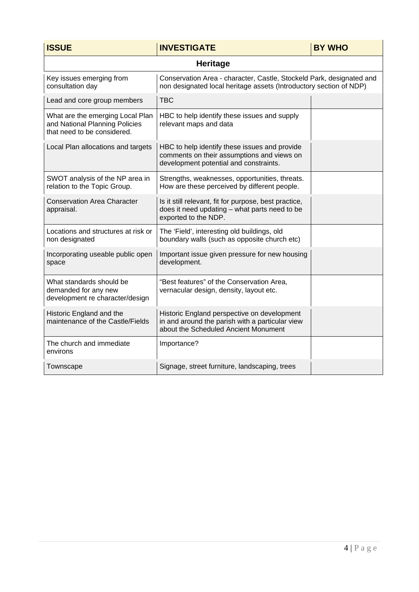| <b>ISSUE</b>                                                                                      | <b>INVESTIGATE</b>                                                                                                                         | <b>BY WHO</b> |
|---------------------------------------------------------------------------------------------------|--------------------------------------------------------------------------------------------------------------------------------------------|---------------|
| <b>Heritage</b>                                                                                   |                                                                                                                                            |               |
| Key issues emerging from<br>consultation day                                                      | Conservation Area - character, Castle, Stockeld Park, designated and<br>non designated local heritage assets (Introductory section of NDP) |               |
| Lead and core group members                                                                       | <b>TBC</b>                                                                                                                                 |               |
| What are the emerging Local Plan<br>and National Planning Policies<br>that need to be considered. | HBC to help identify these issues and supply<br>relevant maps and data                                                                     |               |
| Local Plan allocations and targets                                                                | HBC to help identify these issues and provide<br>comments on their assumptions and views on<br>development potential and constraints.      |               |
| SWOT analysis of the NP area in<br>relation to the Topic Group.                                   | Strengths, weaknesses, opportunities, threats.<br>How are these perceived by different people.                                             |               |
| <b>Conservation Area Character</b><br>appraisal.                                                  | Is it still relevant, fit for purpose, best practice,<br>does it need updating - what parts need to be<br>exported to the NDP.             |               |
| Locations and structures at risk or<br>non designated                                             | The 'Field', interesting old buildings, old<br>boundary walls (such as opposite church etc)                                                |               |
| Incorporating useable public open<br>space                                                        | Important issue given pressure for new housing<br>development.                                                                             |               |
| What standards should be<br>demanded for any new<br>development re character/design               | "Best features" of the Conservation Area,<br>vernacular design, density, layout etc.                                                       |               |
| Historic England and the<br>maintenance of the Castle/Fields                                      | Historic England perspective on development<br>in and around the parish with a particular view<br>about the Scheduled Ancient Monument     |               |
| The church and immediate<br>environs                                                              | Importance?                                                                                                                                |               |
| Townscape                                                                                         | Signage, street furniture, landscaping, trees                                                                                              |               |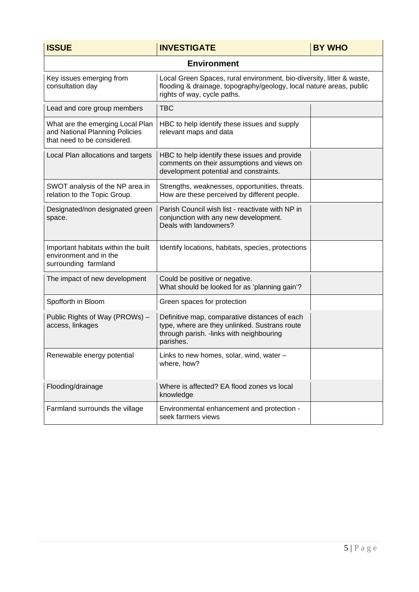| <b>ISSUE</b>                                                                                      | <b>INVESTIGATE</b>                                                                                                                                                          | <b>BY WHO</b> |
|---------------------------------------------------------------------------------------------------|-----------------------------------------------------------------------------------------------------------------------------------------------------------------------------|---------------|
| <b>Environment</b>                                                                                |                                                                                                                                                                             |               |
| Key issues emerging from<br>consultation day                                                      | Local Green Spaces, rural environment, bio-diversity, litter & waste,<br>flooding & drainage, topography/geology, local nature areas, public<br>rights of way, cycle paths. |               |
| Lead and core group members                                                                       | <b>TBC</b>                                                                                                                                                                  |               |
| What are the emerging Local Plan<br>and National Planning Policies<br>that need to be considered. | HBC to help identify these issues and supply<br>relevant maps and data                                                                                                      |               |
| Local Plan allocations and targets                                                                | HBC to help identify these issues and provide<br>comments on their assumptions and views on<br>development potential and constraints.                                       |               |
| SWOT analysis of the NP area in<br>relation to the Topic Group.                                   | Strengths, weaknesses, opportunities, threats.<br>How are these perceived by different people.                                                                              |               |
| Designated/non designated green<br>space.                                                         | Parish Council wish list - reactivate with NP in<br>conjunction with any new development.<br>Deals with landowners?                                                         |               |
| Important habitats within the built<br>environment and in the<br>surrounding farmland             | Identify locations, habitats, species, protections                                                                                                                          |               |
| The impact of new development                                                                     | Could be positive or negative.<br>What should be looked for as 'planning gain'?                                                                                             |               |
| Spofforth in Bloom                                                                                | Green spaces for protection                                                                                                                                                 |               |
| Public Rights of Way (PROWs) -<br>access, linkages                                                | Definitive map, comparative distances of each<br>type, where are they unlinked. Sustrans route<br>through parish. - links with neighbouring<br>parishes.                    |               |
| Renewable energy potential                                                                        | Links to new homes, solar, wind, water ·<br>where, how?                                                                                                                     |               |
| Flooding/drainage                                                                                 | Where is affected? EA flood zones vs local<br>knowledge                                                                                                                     |               |
| Farmland surrounds the village                                                                    | Environmental enhancement and protection -<br>seek farmers views                                                                                                            |               |